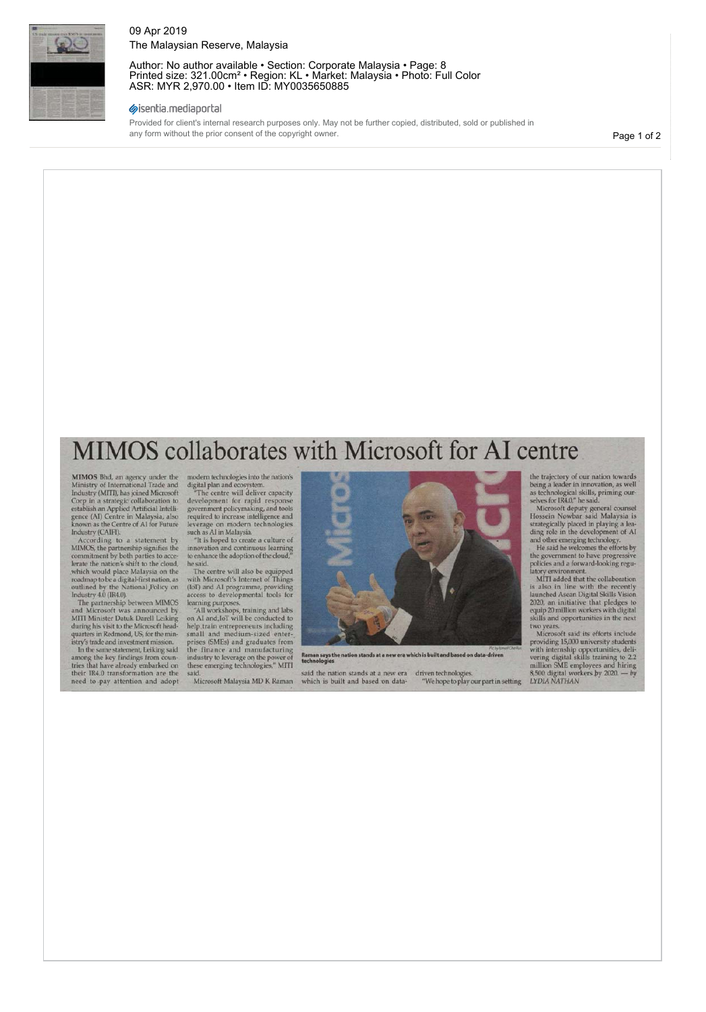

#### 09 Apr 2019 The Malaysian Reserve, Malaysia

Author: No author available • Section: Corporate Malaysia • Page: 8 Printed size: 321.00cm² • Region: KL • Market: Malaysia • Photo: Full Color ASR: MYR 2,970.00 • Item ID: MY0035650885

#### sisentia.mediaportal

Provided for client's internal research purposes only. May not be further copied, distributed, sold or published in any form without the prior consent of the copyright owner.

Page 1 of 2

# MIMOS collaborates with Microsoft for AI centre

MIMOS Bhd, an agency under the<br>Ministry of International Trade and<br>Industry (MITI), has joined Microsoft<br>Corp in a strategic collaboration to<br>establish an Applied Artificial Intelli-<br>gence (Al) Centre in Malaysia, also<br>kno

According to a statement by<br>According to a statement by<br>MIMOS, the partnership signifies the<br>commitment by both parties to acce-<br>lerate the nation's shift to the cloud,<br>which would place Malaysia on the<br>roadmap to be a dig

The partnership between MIMOS and Microsoft was announced by MITI Minister Datuk Darell Leiking during his visit to the Microsoft head-quarters in Redmond, US, for the min-istry's trade and investment mission.

In the same statement, Leiking said among the key findings from coun-tries that have already embarked on their IR4.0 transformation are the need to pay attention and adopt

modern technologies into the nation's<br>
digital plan and ecosystem.<br>
"The centre will deliver capacity<br>
development for rapid response<br>
government policymaking, and tools<br>
required to increase intelligence and

leverage on modern technologies such as AI in Malaysia. "It is hoped to create a culture of innovation and continuous learning to enhance the adoption of the cloud," he said.

The centre will also be equipped with Microsoft's Internet of Things (IoT) and AI programme, providing access to developmental tools for learning purposes. "All workshops, training and labs on AI and,IoT will be conducted to

help train entrepreneurs including<br>small and medium-sized enter-<br>prises (SMEs) and graduates from<br>the finance and manufacturing<br>industry to leverage on the power of<br>these emerging technologies," MITI said.

Microsoft Malaysia MD K Raman



*hich is built and based on data-drive* **Raman says the nation stands at a new era which is built and based on data-driven technologies** 

 $\operatorname{said}$  the nation stands at a new era which is built and based on data- $\,$  driven technologies.  $\,$  "We hope to play our part in setting

the trajectory of our nation towards being a leader in innovation, as well as technological skills, priming our-selves for IR4.0," he said.

Microsoft deputy general counsel<br>Hossein Nowbar said Malaysia is<br>strategically placed in playing a leading role in the development of AI<br>and other emerging technology.<br>He said he welcomes the efforts by<br>the government to h

latory environment.<br>
MITI added that the collaboration<br>
is also in line with the recently<br>
launched Asean Digital Skills Vision<br>
2020, an initiative that pledges to<br>
equip 20 million workers with digital<br>
skills and opport

Wor years.<br>
Microsoft said its efforts include<br>
Microsoft said its efforts include<br>
providing 15,000 university students<br>
wering digital skills training to 2.2<br>
million SME employees and hiring<br>
8,500 digital workers by 20